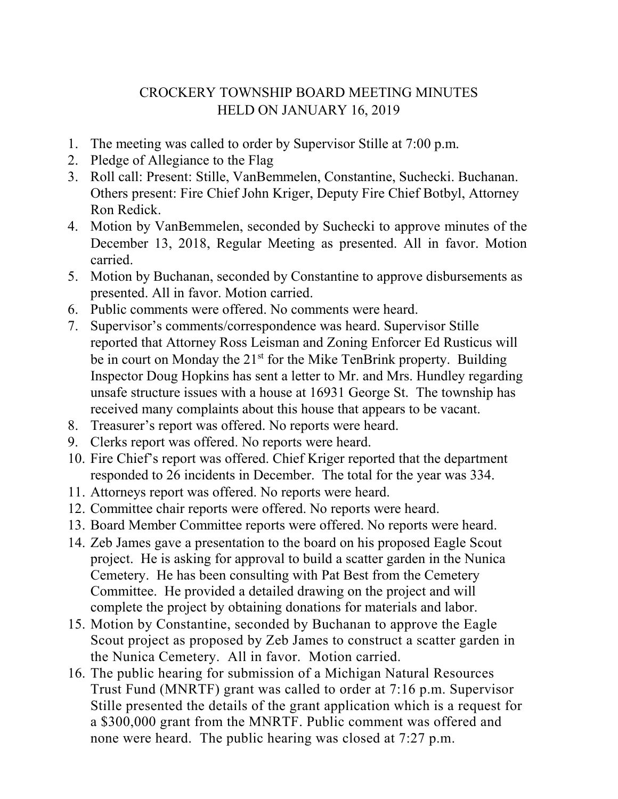## CROCKERY TOWNSHIP BOARD MEETING MINUTES HELD ON JANUARY 16, 2019

- 1. The meeting was called to order by Supervisor Stille at 7:00 p.m.
- 2. Pledge of Allegiance to the Flag
- 3. Roll call: Present: Stille, VanBemmelen, Constantine, Suchecki. Buchanan. Others present: Fire Chief John Kriger, Deputy Fire Chief Botbyl, Attorney Ron Redick.
- 4. Motion by VanBemmelen, seconded by Suchecki to approve minutes of the December 13, 2018, Regular Meeting as presented. All in favor. Motion carried.
- 5. Motion by Buchanan, seconded by Constantine to approve disbursements as presented. All in favor. Motion carried.
- 6. Public comments were offered. No comments were heard.
- 7. Supervisor's comments/correspondence was heard. Supervisor Stille reported that Attorney Ross Leisman and Zoning Enforcer Ed Rusticus will be in court on Monday the 21<sup>st</sup> for the Mike TenBrink property. Building Inspector Doug Hopkins has sent a letter to Mr. and Mrs. Hundley regarding unsafe structure issues with a house at 16931 George St. The township has received many complaints about this house that appears to be vacant.
- 8. Treasurer's report was offered. No reports were heard.
- 9. Clerks report was offered. No reports were heard.
- 10. Fire Chief's report was offered. Chief Kriger reported that the department responded to 26 incidents in December. The total for the year was 334.
- 11. Attorneys report was offered. No reports were heard.
- 12. Committee chair reports were offered. No reports were heard.
- 13. Board Member Committee reports were offered. No reports were heard.
- 14. Zeb James gave a presentation to the board on his proposed Eagle Scout project. He is asking for approval to build a scatter garden in the Nunica Cemetery. He has been consulting with Pat Best from the Cemetery Committee. He provided a detailed drawing on the project and will complete the project by obtaining donations for materials and labor.
- 15. Motion by Constantine, seconded by Buchanan to approve the Eagle Scout project as proposed by Zeb James to construct a scatter garden in the Nunica Cemetery. All in favor. Motion carried.
- 16. The public hearing for submission of a Michigan Natural Resources Trust Fund (MNRTF) grant was called to order at 7:16 p.m. Supervisor Stille presented the details of the grant application which is a request for a \$300,000 grant from the MNRTF. Public comment was offered and none were heard. The public hearing was closed at 7:27 p.m.